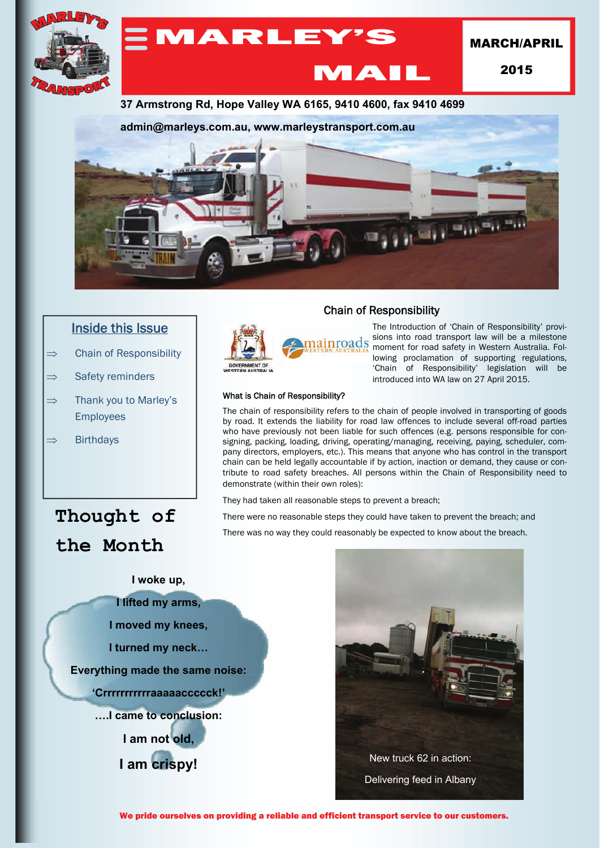

### Inside this Issue

- $\Rightarrow$  Chain of Responsibility
- $\Rightarrow$  Safety reminders
- $\Rightarrow$  Thank you to Marley's **Employees**
- $\Rightarrow$  Birthdays

# **Thought of the Month**



#### Chain of Responsibility

The Introduction of 'Chain of Responsibility' provisions into road transport law will be a milestone moment for road safety in Western Australia. Following proclamation of supporting regulations, 'Chain of Responsibility' legislation will be introduced into WA law on 27 April 2015.

#### What is Chain of Responsibility?

The chain of responsibility refers to the chain of people involved in transporting of goods by road. It extends the liability for road law offences to include several off-road parties who have previously not been liable for such offences (e.g. persons responsible for consigning, packing, loading, driving, operating/managing, receiving, paying, scheduler, company directors, employers, etc.). This means that anyone who has control in the transport chain can be held legally accountable if by action, inaction or demand, they cause or contribute to road safety breaches. All persons within the Chain of Responsibility need to demonstrate (within their own roles):

They had taken all reasonable steps to prevent a breach;

There were no reasonable steps they could have taken to prevent the breach; and

There was no way they could reasonably be expected to know about the breach.





We pride ourselves on providing a reliable and efficient transport service to our customers.